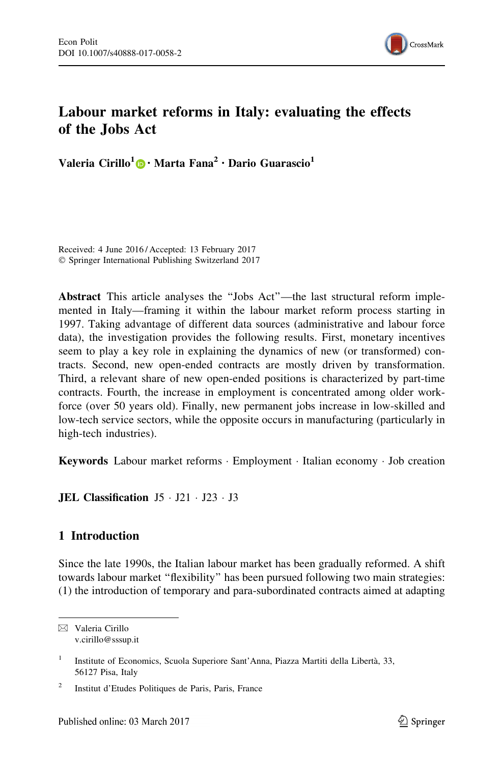

# Labour market reforms in Italy: evaluating the effects of the Jobs Act

Valeria Cirillo<sup>1</sup> [•](http://orcid.org/0000-0003-4562-2359) Marta Fana<sup>2</sup> • Dario Guarascio<sup>1</sup>

Received: 4 June 2016 / Accepted: 13 February 2017 - Springer International Publishing Switzerland 2017

Abstract This article analyses the ''Jobs Act''—the last structural reform implemented in Italy—framing it within the labour market reform process starting in 1997. Taking advantage of different data sources (administrative and labour force data), the investigation provides the following results. First, monetary incentives seem to play a key role in explaining the dynamics of new (or transformed) contracts. Second, new open-ended contracts are mostly driven by transformation. Third, a relevant share of new open-ended positions is characterized by part-time contracts. Fourth, the increase in employment is concentrated among older workforce (over 50 years old). Finally, new permanent jobs increase in low-skilled and low-tech service sectors, while the opposite occurs in manufacturing (particularly in high-tech industries).

Keywords Labour market reforms · Employment · Italian economy · Job creation

**JEL Classification**  $J5 \cdot J21 \cdot J23 \cdot J3$ 

### 1 Introduction

Since the late 1990s, the Italian labour market has been gradually reformed. A shift towards labour market ''flexibility'' has been pursued following two main strategies: (1) the introduction of temporary and para-subordinated contracts aimed at adapting

 $\boxtimes$  Valeria Cirillo v.cirillo@sssup.it

<sup>&</sup>lt;sup>1</sup> Institute of Economics, Scuola Superiore Sant'Anna, Piazza Martiti della Libertà, 33, 56127 Pisa, Italy

<sup>2</sup> Institut d'Etudes Politiques de Paris, Paris, France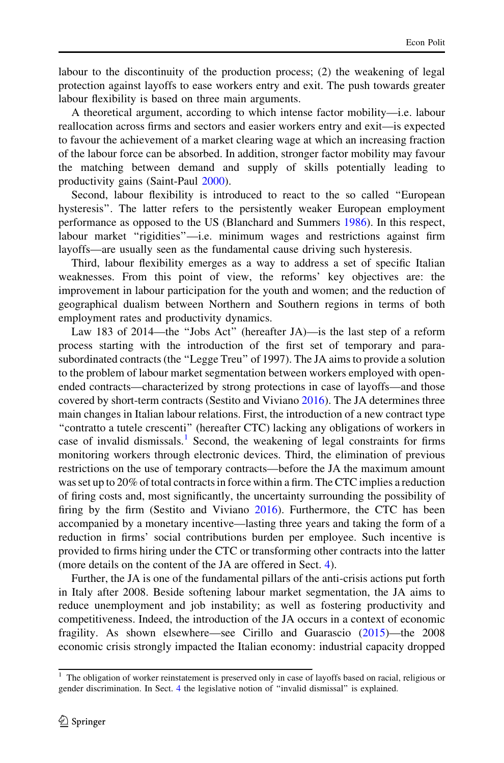labour to the discontinuity of the production process; (2) the weakening of legal protection against layoffs to ease workers entry and exit. The push towards greater labour flexibility is based on three main arguments.

A theoretical argument, according to which intense factor mobility—i.e. labour reallocation across firms and sectors and easier workers entry and exit—is expected to favour the achievement of a market clearing wage at which an increasing fraction of the labour force can be absorbed. In addition, stronger factor mobility may favour the matching between demand and supply of skills potentially leading to productivity gains (Saint-Paul [2000](#page-20-0)).

Second, labour flexibility is introduced to react to the so called ''European hysteresis''. The latter refers to the persistently weaker European employment performance as opposed to the US (Blanchard and Summers [1986\)](#page-19-0). In this respect, labour market ''rigidities''—i.e. minimum wages and restrictions against firm layoffs—are usually seen as the fundamental cause driving such hysteresis.

Third, labour flexibility emerges as a way to address a set of specific Italian weaknesses. From this point of view, the reforms' key objectives are: the improvement in labour participation for the youth and women; and the reduction of geographical dualism between Northern and Southern regions in terms of both employment rates and productivity dynamics.

Law 183 of 2014—the ''Jobs Act'' (hereafter JA)—is the last step of a reform process starting with the introduction of the first set of temporary and parasubordinated contracts (the ''Legge Treu'' of 1997). The JA aims to provide a solution to the problem of labour market segmentation between workers employed with openended contracts—characterized by strong protections in case of layoffs—and those covered by short-term contracts (Sestito and Viviano [2016](#page-21-0)). The JA determines three main changes in Italian labour relations. First, the introduction of a new contract type ''contratto a tutele crescenti'' (hereafter CTC) lacking any obligations of workers in case of invalid dismissals.<sup>1</sup> Second, the weakening of legal constraints for firms monitoring workers through electronic devices. Third, the elimination of previous restrictions on the use of temporary contracts—before the JA the maximum amount was set up to 20% of total contracts in force within a firm. The CTC implies a reduction of firing costs and, most significantly, the uncertainty surrounding the possibility of firing by the firm (Sestito and Viviano [2016](#page-21-0)). Furthermore, the CTC has been accompanied by a monetary incentive—lasting three years and taking the form of a reduction in firms' social contributions burden per employee. Such incentive is provided to firms hiring under the CTC or transforming other contracts into the latter (more details on the content of the JA are offered in Sect. [4](#page-9-0)).

Further, the JA is one of the fundamental pillars of the anti-crisis actions put forth in Italy after 2008. Beside softening labour market segmentation, the JA aims to reduce unemployment and job instability; as well as fostering productivity and competitiveness. Indeed, the introduction of the JA occurs in a context of economic fragility. As shown elsewhere—see Cirillo and Guarascio [\(2015](#page-19-0))—the 2008 economic crisis strongly impacted the Italian economy: industrial capacity dropped

<sup>&</sup>lt;sup>1</sup> The obligation of worker reinstatement is preserved only in case of layoffs based on racial, religious or gender discrimination. In Sect. [4](#page-9-0) the legislative notion of ''invalid dismissal'' is explained.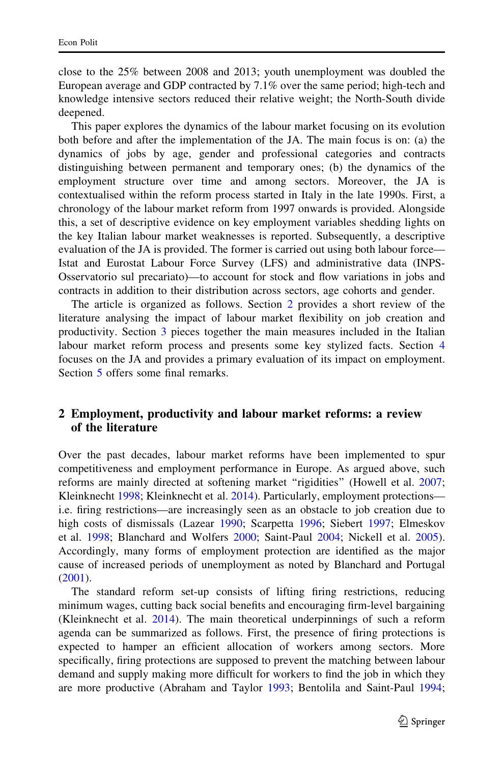<span id="page-2-0"></span>close to the 25% between 2008 and 2013; youth unemployment was doubled the European average and GDP contracted by 7.1% over the same period; high-tech and knowledge intensive sectors reduced their relative weight; the North-South divide deepened.

This paper explores the dynamics of the labour market focusing on its evolution both before and after the implementation of the JA. The main focus is on: (a) the dynamics of jobs by age, gender and professional categories and contracts distinguishing between permanent and temporary ones; (b) the dynamics of the employment structure over time and among sectors. Moreover, the JA is contextualised within the reform process started in Italy in the late 1990s. First, a chronology of the labour market reform from 1997 onwards is provided. Alongside this, a set of descriptive evidence on key employment variables shedding lights on the key Italian labour market weaknesses is reported. Subsequently, a descriptive evaluation of the JA is provided. The former is carried out using both labour force— Istat and Eurostat Labour Force Survey (LFS) and administrative data (INPS-Osservatorio sul precariato)—to account for stock and flow variations in jobs and contracts in addition to their distribution across sectors, age cohorts and gender.

The article is organized as follows. Section 2 provides a short review of the literature analysing the impact of labour market flexibility on job creation and productivity. Section [3](#page-5-0) pieces together the main measures included in the Italian labour market reform process and presents some key stylized facts. Section [4](#page-9-0) focuses on the JA and provides a primary evaluation of its impact on employment. Section [5](#page-16-0) offers some final remarks.

### 2 Employment, productivity and labour market reforms: a review of the literature

Over the past decades, labour market reforms have been implemented to spur competitiveness and employment performance in Europe. As argued above, such reforms are mainly directed at softening market "rigidities" (Howell et al. [2007;](#page-20-0) Kleinknecht [1998](#page-20-0); Kleinknecht et al. [2014](#page-20-0)). Particularly, employment protections i.e. firing restrictions—are increasingly seen as an obstacle to job creation due to high costs of dismissals (Lazear [1990;](#page-20-0) Scarpetta [1996;](#page-20-0) Siebert [1997;](#page-21-0) Elmeskov et al. [1998;](#page-19-0) Blanchard and Wolfers [2000;](#page-19-0) Saint-Paul [2004;](#page-20-0) Nickell et al. [2005\)](#page-20-0). Accordingly, many forms of employment protection are identified as the major cause of increased periods of unemployment as noted by Blanchard and Portugal [\(2001](#page-19-0)).

The standard reform set-up consists of lifting firing restrictions, reducing minimum wages, cutting back social benefits and encouraging firm-level bargaining (Kleinknecht et al. [2014\)](#page-20-0). The main theoretical underpinnings of such a reform agenda can be summarized as follows. First, the presence of firing protections is expected to hamper an efficient allocation of workers among sectors. More specifically, firing protections are supposed to prevent the matching between labour demand and supply making more difficult for workers to find the job in which they are more productive (Abraham and Taylor [1993](#page-18-0); Bentolila and Saint-Paul [1994;](#page-19-0)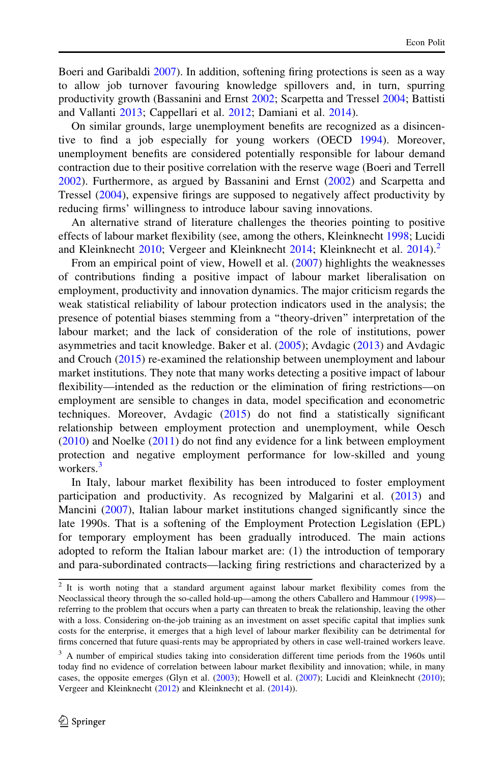Boeri and Garibaldi [2007\)](#page-19-0). In addition, softening firing protections is seen as a way to allow job turnover favouring knowledge spillovers and, in turn, spurring productivity growth (Bassanini and Ernst [2002;](#page-19-0) Scarpetta and Tressel [2004;](#page-20-0) Battisti and Vallanti [2013](#page-19-0); Cappellari et al. [2012](#page-19-0); Damiani et al. [2014\)](#page-19-0).

On similar grounds, large unemployment benefits are recognized as a disincentive to find a job especially for young workers (OECD [1994\)](#page-20-0). Moreover, unemployment benefits are considered potentially responsible for labour demand contraction due to their positive correlation with the reserve wage (Boeri and Terrell [2002\)](#page-19-0). Furthermore, as argued by Bassanini and Ernst [\(2002](#page-19-0)) and Scarpetta and Tressel ([2004\)](#page-20-0), expensive firings are supposed to negatively affect productivity by reducing firms' willingness to introduce labour saving innovations.

An alternative strand of literature challenges the theories pointing to positive effects of labour market flexibility (see, among the others, Kleinknecht [1998;](#page-20-0) Lucidi and Kleinknecht  $2010$ ; Vergeer and Kleinknecht  $2014$ ; Kleinknecht et al.  $2014$ ).<sup>2</sup>

From an empirical point of view, Howell et al. ([2007\)](#page-20-0) highlights the weaknesses of contributions finding a positive impact of labour market liberalisation on employment, productivity and innovation dynamics. The major criticism regards the weak statistical reliability of labour protection indicators used in the analysis; the presence of potential biases stemming from a ''theory-driven'' interpretation of the labour market; and the lack of consideration of the role of institutions, power asymmetries and tacit knowledge. Baker et al. [\(2005\)](#page-19-0); Avdagic ([2013](#page-18-0)) and Avdagic and Crouch [\(2015](#page-19-0)) re-examined the relationship between unemployment and labour market institutions. They note that many works detecting a positive impact of labour flexibility—intended as the reduction or the elimination of firing restrictions—on employment are sensible to changes in data, model specification and econometric techniques. Moreover, Avdagic [\(2015](#page-19-0)) do not find a statistically significant relationship between employment protection and unemployment, while Oesch [\(2010](#page-20-0)) and Noelke ([2011\)](#page-20-0) do not find any evidence for a link between employment protection and negative employment performance for low-skilled and young workers $^3$ 

In Italy, labour market flexibility has been introduced to foster employment participation and productivity. As recognized by Malgarini et al. ([2013](#page-20-0)) and Mancini ([2007\)](#page-20-0), Italian labour market institutions changed significantly since the late 1990s. That is a softening of the Employment Protection Legislation (EPL) for temporary employment has been gradually introduced. The main actions adopted to reform the Italian labour market are: (1) the introduction of temporary and para-subordinated contracts—lacking firing restrictions and characterized by a

<sup>&</sup>lt;sup>2</sup> It is worth noting that a standard argument against labour market flexibility comes from the Neoclassical theory through the so-called hold-up—among the others Caballero and Hammour ([1998\)](#page-19-0) referring to the problem that occurs when a party can threaten to break the relationship, leaving the other with a loss. Considering on-the-job training as an investment on asset specific capital that implies sunk costs for the enterprise, it emerges that a high level of labour marker flexibility can be detrimental for firms concerned that future quasi-rents may be appropriated by others in case well-trained workers leave.

<sup>&</sup>lt;sup>3</sup> A number of empirical studies taking into consideration different time periods from the 1960s until today find no evidence of correlation between labour market flexibility and innovation; while, in many cases, the opposite emerges (Glyn et al. ([2003](#page-20-0)); Howell et al. ([2007\)](#page-20-0); Lucidi and Kleinknecht ([2010](#page-20-0)); Vergeer and Kleinknecht ([2012\)](#page-21-0) and Kleinknecht et al. [\(2014](#page-20-0))).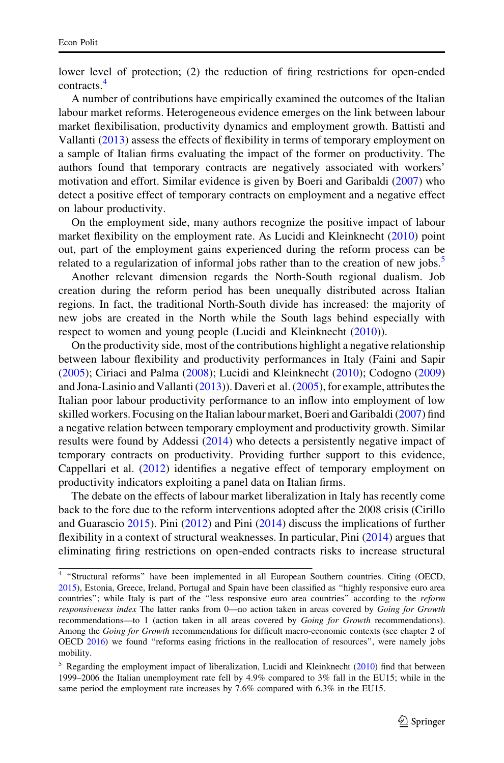lower level of protection; (2) the reduction of firing restrictions for open-ended contracts.<sup>4</sup>

A number of contributions have empirically examined the outcomes of the Italian labour market reforms. Heterogeneous evidence emerges on the link between labour market flexibilisation, productivity dynamics and employment growth. Battisti and Vallanti [\(2013](#page-19-0)) assess the effects of flexibility in terms of temporary employment on a sample of Italian firms evaluating the impact of the former on productivity. The authors found that temporary contracts are negatively associated with workers' motivation and effort. Similar evidence is given by Boeri and Garibaldi [\(2007](#page-19-0)) who detect a positive effect of temporary contracts on employment and a negative effect on labour productivity.

On the employment side, many authors recognize the positive impact of labour market flexibility on the employment rate. As Lucidi and Kleinknecht ([2010](#page-20-0)) point out, part of the employment gains experienced during the reform process can be related to a regularization of informal jobs rather than to the creation of new jobs.<sup>5</sup>

Another relevant dimension regards the North-South regional dualism. Job creation during the reform period has been unequally distributed across Italian regions. In fact, the traditional North-South divide has increased: the majority of new jobs are created in the North while the South lags behind especially with respect to women and young people (Lucidi and Kleinknecht ([2010\)](#page-20-0)).

On the productivity side, most of the contributions highlight a negative relationship between labour flexibility and productivity performances in Italy (Faini and Sapir [\(2005](#page-19-0)); Ciriaci and Palma [\(2008](#page-19-0)); Lucidi and Kleinknecht [\(2010](#page-20-0)); Codogno [\(2009\)](#page-19-0) and Jona-Lasinio and Vallanti ([2013\)](#page-20-0)). Daveri et al. [\(2005](#page-19-0)), for example, attributes the Italian poor labour productivity performance to an inflow into employment of low skilled workers. Focusing on the Italian labour market, Boeri and Garibaldi [\(2007\)](#page-19-0) find a negative relation between temporary employment and productivity growth. Similar results were found by Addessi ([2014\)](#page-18-0) who detects a persistently negative impact of temporary contracts on productivity. Providing further support to this evidence, Cappellari et al. ([2012\)](#page-19-0) identifies a negative effect of temporary employment on productivity indicators exploiting a panel data on Italian firms.

The debate on the effects of labour market liberalization in Italy has recently come back to the fore due to the reform interventions adopted after the 2008 crisis (Cirillo and Guarascio [2015](#page-19-0)). Pini [\(2012](#page-20-0)) and Pini [\(2014](#page-20-0)) discuss the implications of further flexibility in a context of structural weaknesses. In particular, Pini [\(2014](#page-20-0)) argues that eliminating firing restrictions on open-ended contracts risks to increase structural

<sup>&</sup>lt;sup>4</sup> "Structural reforms" have been implemented in all European Southern countries. Citing (OECD, [2015\)](#page-20-0), Estonia, Greece, Ireland, Portugal and Spain have been classified as ''highly responsive euro area countries"; while Italy is part of the "less responsive euro area countries" according to the reform responsiveness index The latter ranks from 0—no action taken in areas covered by Going for Growth recommendations—to 1 (action taken in all areas covered by Going for Growth recommendations). Among the Going for Growth recommendations for difficult macro-economic contexts (see chapter 2 of OECD [2016\)](#page-20-0) we found ''reforms easing frictions in the reallocation of resources'', were namely jobs mobility.

 $5$  Regarding the employment impact of liberalization, Lucidi and Kleinknecht ( $2010$ ) find that between 1999–2006 the Italian unemployment rate fell by 4.9% compared to 3% fall in the EU15; while in the same period the employment rate increases by 7.6% compared with 6.3% in the EU15.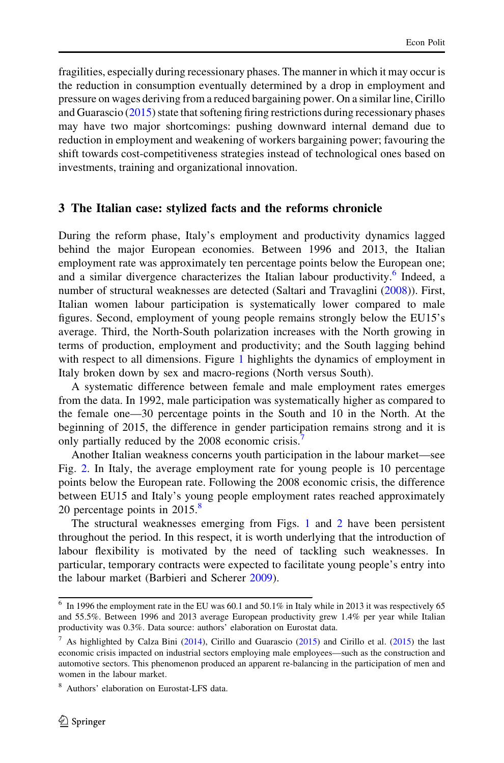<span id="page-5-0"></span>fragilities, especially during recessionary phases. The manner in which it may occur is the reduction in consumption eventually determined by a drop in employment and pressure on wages deriving from a reduced bargaining power. On a similar line, Cirillo and Guarascio ([2015\)](#page-19-0) state that softening firing restrictions during recessionary phases may have two major shortcomings: pushing downward internal demand due to reduction in employment and weakening of workers bargaining power; favouring the shift towards cost-competitiveness strategies instead of technological ones based on investments, training and organizational innovation.

#### 3 The Italian case: stylized facts and the reforms chronicle

During the reform phase, Italy's employment and productivity dynamics lagged behind the major European economies. Between 1996 and 2013, the Italian employment rate was approximately ten percentage points below the European one; and a similar divergence characterizes the Italian labour productivity.<sup>6</sup> Indeed, a number of structural weaknesses are detected (Saltari and Travaglini ([2008](#page-20-0))). First, Italian women labour participation is systematically lower compared to male figures. Second, employment of young people remains strongly below the EU15's average. Third, the North-South polarization increases with the North growing in terms of production, employment and productivity; and the South lagging behind with respect to all dimensions. Figure [1](#page-6-0) highlights the dynamics of employment in Italy broken down by sex and macro-regions (North versus South).

A systematic difference between female and male employment rates emerges from the data. In 1992, male participation was systematically higher as compared to the female one—30 percentage points in the South and 10 in the North. At the beginning of 2015, the difference in gender participation remains strong and it is only partially reduced by the 2008 economic crisis.<sup>7</sup>

Another Italian weakness concerns youth participation in the labour market—see Fig. [2.](#page-6-0) In Italy, the average employment rate for young people is 10 percentage points below the European rate. Following the 2008 economic crisis, the difference between EU15 and Italy's young people employment rates reached approximately 20 percentage points in  $2015$ .<sup>8</sup>

The structural weaknesses emerging from Figs. [1](#page-6-0) and [2](#page-6-0) have been persistent throughout the period. In this respect, it is worth underlying that the introduction of labour flexibility is motivated by the need of tackling such weaknesses. In particular, temporary contracts were expected to facilitate young people's entry into the labour market (Barbieri and Scherer [2009\)](#page-19-0).

 $6$  In 1996 the employment rate in the EU was 60.1 and 50.1% in Italy while in 2013 it was respectively 65 and 55.5%. Between 1996 and 2013 average European productivity grew 1.4% per year while Italian productivity was 0.3%. Data source: authors' elaboration on Eurostat data.

<sup>&</sup>lt;sup>7</sup> As highlighted by Calza Bini ([2014](#page-19-0)), Cirillo and Guarascio ([2015\)](#page-19-0) and Cirillo et al. (2015) the last economic crisis impacted on industrial sectors employing male employees—such as the construction and automotive sectors. This phenomenon produced an apparent re-balancing in the participation of men and women in the labour market.

<sup>8</sup> Authors' elaboration on Eurostat-LFS data.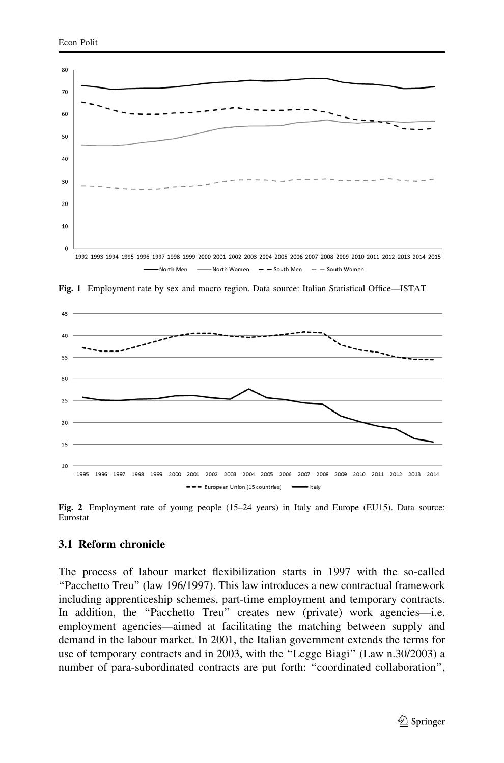<span id="page-6-0"></span>

Fig. 1 Employment rate by sex and macro region. Data source: Italian Statistical Office—ISTAT



Fig. 2 Employment rate of young people (15–24 years) in Italy and Europe (EU15). Data source: Eurostat

#### 3.1 Reform chronicle

The process of labour market flexibilization starts in 1997 with the so-called ''Pacchetto Treu'' (law 196/1997). This law introduces a new contractual framework including apprenticeship schemes, part-time employment and temporary contracts. In addition, the "Pacchetto Treu" creates new (private) work agencies—i.e. employment agencies—aimed at facilitating the matching between supply and demand in the labour market. In 2001, the Italian government extends the terms for use of temporary contracts and in 2003, with the ''Legge Biagi'' (Law n.30/2003) a number of para-subordinated contracts are put forth: ''coordinated collaboration'',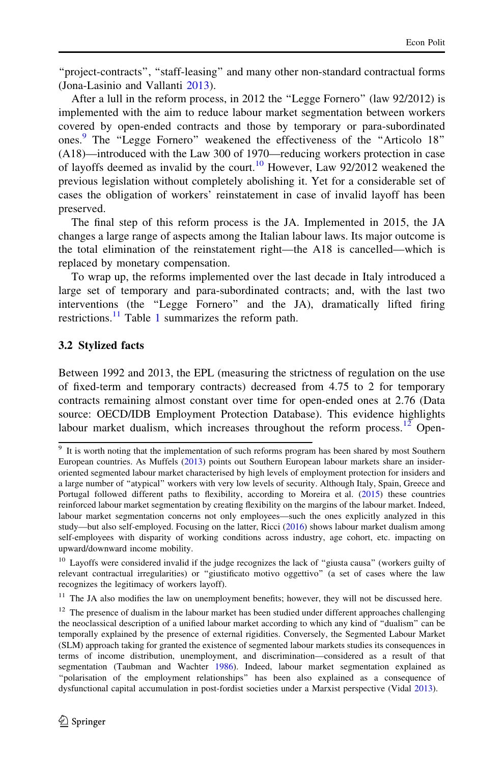''project-contracts'', ''staff-leasing'' and many other non-standard contractual forms (Jona-Lasinio and Vallanti [2013\)](#page-20-0).

After a lull in the reform process, in 2012 the ''Legge Fornero'' (law 92/2012) is implemented with the aim to reduce labour market segmentation between workers covered by open-ended contracts and those by temporary or para-subordinated ones.<sup>9</sup> The "Legge Fornero" weakened the effectiveness of the "Articolo 18" (A18)—introduced with the Law 300 of 1970—reducing workers protection in case of layoffs deemed as invalid by the court.<sup>10</sup> However, Law  $92/2012$  weakened the previous legislation without completely abolishing it. Yet for a considerable set of cases the obligation of workers' reinstatement in case of invalid layoff has been preserved.

The final step of this reform process is the JA. Implemented in 2015, the JA changes a large range of aspects among the Italian labour laws. Its major outcome is the total elimination of the reinstatement right—the A18 is cancelled—which is replaced by monetary compensation.

To wrap up, the reforms implemented over the last decade in Italy introduced a large set of temporary and para-subordinated contracts; and, with the last two interventions (the ''Legge Fornero'' and the JA), dramatically lifted firing restrictions. $^{11}$  $^{11}$  $^{11}$  Table 1 summarizes the reform path.

### 3.2 Stylized facts

Between 1992 and 2013, the EPL (measuring the strictness of regulation on the use of fixed-term and temporary contracts) decreased from 4.75 to 2 for temporary contracts remaining almost constant over time for open-ended ones at 2.76 (Data source: OECD/IDB Employment Protection Database). This evidence highlights labour market dualism, which increases throughout the reform process.<sup>12</sup> Open-

<sup>&</sup>lt;sup>9</sup> It is worth noting that the implementation of such reforms program has been shared by most Southern European countries. As Muffels ([2013\)](#page-20-0) points out Southern European labour markets share an insideroriented segmented labour market characterised by high levels of employment protection for insiders and a large number of ''atypical'' workers with very low levels of security. Although Italy, Spain, Greece and Portugal followed different paths to flexibility, according to Moreira et al. [\(2015](#page-20-0)) these countries reinforced labour market segmentation by creating flexibility on the margins of the labour market. Indeed, labour market segmentation concerns not only employees—such the ones explicitly analyzed in this study—but also self-employed. Focusing on the latter, Ricci [\(2016](#page-20-0)) shows labour market dualism among self-employees with disparity of working conditions across industry, age cohort, etc. impacting on upward/downward income mobility.

<sup>&</sup>lt;sup>10</sup> Layoffs were considered invalid if the judge recognizes the lack of "giusta causa" (workers guilty of relevant contractual irregularities) or "giustificato motivo oggettivo" (a set of cases where the law recognizes the legitimacy of workers layoff).

<sup>&</sup>lt;sup>11</sup> The JA also modifies the law on unemployment benefits; however, they will not be discussed here.

 $12$  The presence of dualism in the labour market has been studied under different approaches challenging the neoclassical description of a unified labour market according to which any kind of ''dualism'' can be temporally explained by the presence of external rigidities. Conversely, the Segmented Labour Market (SLM) approach taking for granted the existence of segmented labour markets studies its consequences in terms of income distribution, unemployment, and discrimination—considered as a result of that segmentation (Taubman and Wachter [1986](#page-21-0)). Indeed, labour market segmentation explained as ''polarisation of the employment relationships'' has been also explained as a consequence of dysfunctional capital accumulation in post-fordist societies under a Marxist perspective (Vidal [2013](#page-21-0)).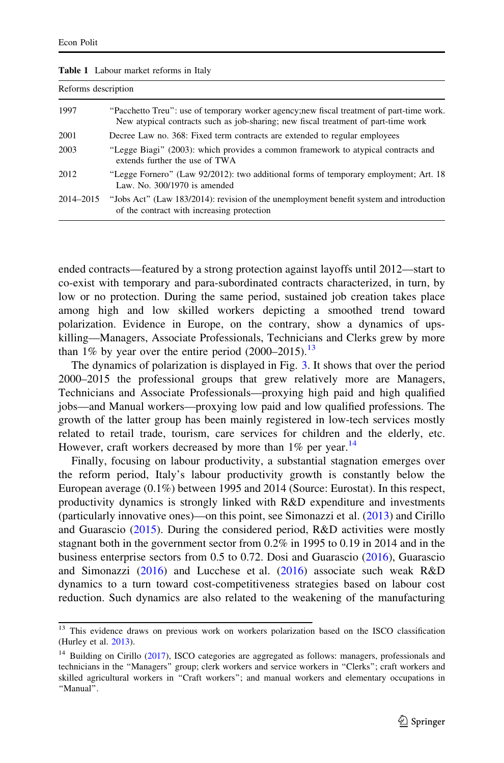| Reforms description |                                                                                                                                                                                 |  |  |
|---------------------|---------------------------------------------------------------------------------------------------------------------------------------------------------------------------------|--|--|
| 1997                | "Pacchetto Treu": use of temporary worker agency; new fiscal treatment of part-time work.<br>New atypical contracts such as job-sharing; new fiscal treatment of part-time work |  |  |
| 2001                | Decree Law no. 368: Fixed term contracts are extended to regular employees                                                                                                      |  |  |
| 2003                | "Legge Biagi" (2003): which provides a common framework to atypical contracts and<br>extends further the use of TWA                                                             |  |  |
| 2012                | "Legge Fornero" (Law 92/2012): two additional forms of temporary employment; Art. 18<br>Law, No. $300/1970$ is amended                                                          |  |  |
| 2014-2015           | "Jobs Act" (Law 183/2014): revision of the unemployment benefit system and introduction<br>of the contract with increasing protection                                           |  |  |

<span id="page-8-0"></span>Table 1 Labour market reforms in Italy

ended contracts—featured by a strong protection against layoffs until 2012—start to co-exist with temporary and para-subordinated contracts characterized, in turn, by low or no protection. During the same period, sustained job creation takes place among high and low skilled workers depicting a smoothed trend toward polarization. Evidence in Europe, on the contrary, show a dynamics of upskilling—Managers, Associate Professionals, Technicians and Clerks grew by more than 1% by year over the entire period  $(2000-2015).$ <sup>13</sup>

The dynamics of polarization is displayed in Fig. [3](#page-9-0). It shows that over the period 2000–2015 the professional groups that grew relatively more are Managers, Technicians and Associate Professionals—proxying high paid and high qualified jobs—and Manual workers—proxying low paid and low qualified professions. The growth of the latter group has been mainly registered in low-tech services mostly related to retail trade, tourism, care services for children and the elderly, etc. However, craft workers decreased by more than  $1\%$  per year.<sup>14</sup>

Finally, focusing on labour productivity, a substantial stagnation emerges over the reform period, Italy's labour productivity growth is constantly below the European average (0.1%) between 1995 and 2014 (Source: Eurostat). In this respect, productivity dynamics is strongly linked with R&D expenditure and investments (particularly innovative ones)—on this point, see Simonazzi et al. ([2013\)](#page-21-0) and Cirillo and Guarascio ([2015\)](#page-19-0). During the considered period, R&D activities were mostly stagnant both in the government sector from 0.2% in 1995 to 0.19 in 2014 and in the business enterprise sectors from 0.5 to 0.72. Dosi and Guarascio ([2016\)](#page-19-0), Guarascio and Simonazzi ([2016\)](#page-20-0) and Lucchese et al. ([2016\)](#page-20-0) associate such weak R&D dynamics to a turn toward cost-competitiveness strategies based on labour cost reduction. Such dynamics are also related to the weakening of the manufacturing

<sup>&</sup>lt;sup>13</sup> This evidence draws on previous work on workers polarization based on the ISCO classification (Hurley et al. [2013](#page-20-0)).

<sup>&</sup>lt;sup>14</sup> Building on Cirillo ([2017\)](#page-19-0), ISCO categories are aggregated as follows: managers, professionals and technicians in the ''Managers'' group; clerk workers and service workers in ''Clerks''; craft workers and skilled agricultural workers in ''Craft workers''; and manual workers and elementary occupations in ''Manual''.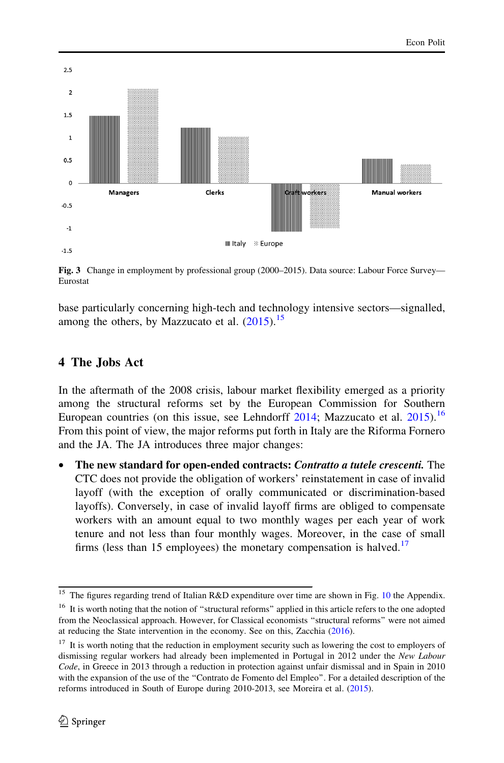<span id="page-9-0"></span>

Fig. 3 Change in employment by professional group (2000–2015). Data source: Labour Force Survey— Eurostat

base particularly concerning high-tech and technology intensive sectors—signalled, among the others, by Mazzucato et al.  $(2015)^{15}$  $(2015)^{15}$ 

## 4 The Jobs Act

In the aftermath of the 2008 crisis, labour market flexibility emerged as a priority among the structural reforms set by the European Commission for Southern European countries (on this issue, see Lehndorff  $2014$ ; Mazzucato et al.  $2015$ ).<sup>16</sup> From this point of view, the major reforms put forth in Italy are the Riforma Fornero and the JA. The JA introduces three major changes:

The new standard for open-ended contracts: Contratto a tutele crescenti. The CTC does not provide the obligation of workers' reinstatement in case of invalid layoff (with the exception of orally communicated or discrimination-based layoffs). Conversely, in case of invalid layoff firms are obliged to compensate workers with an amount equal to two monthly wages per each year of work tenure and not less than four monthly wages. Moreover, in the case of small firms (less than 15 employees) the monetary compensation is halved.<sup>17</sup>

 $\frac{15}{15}$  The figures regarding trend of Italian R&D expenditure over time are shown in Fig. [10](#page-18-0) the Appendix. <sup>16</sup> It is worth noting that the notion of "structural reforms" applied in this article refers to the one adopted from the Neoclassical approach. However, for Classical economists ''structural reforms'' were not aimed at reducing the State intervention in the economy. See on this, Zacchia [\(2016\)](#page-21-0).

<sup>&</sup>lt;sup>17</sup> It is worth noting that the reduction in employment security such as lowering the cost to employers of dismissing regular workers had already been implemented in Portugal in 2012 under the New Labour Code, in Greece in 2013 through a reduction in protection against unfair dismissal and in Spain in 2010 with the expansion of the use of the ''Contrato de Fomento del Empleo''. For a detailed description of the reforms introduced in South of Europe during 2010-2013, see Moreira et al. [\(2015](#page-20-0)).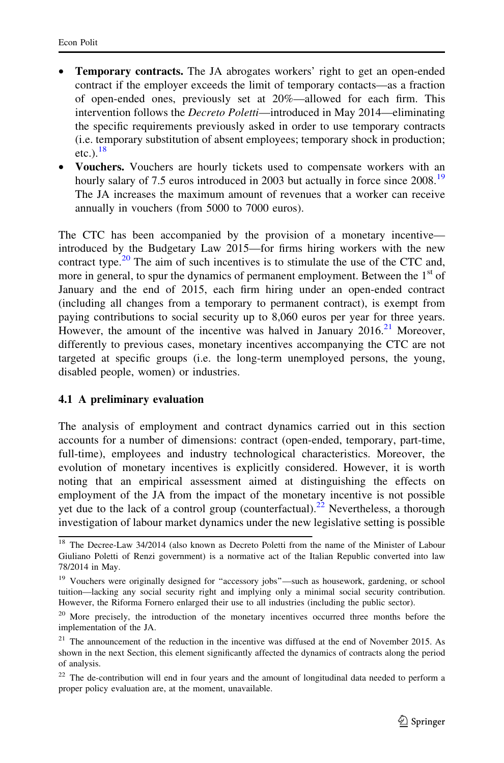- **Temporary contracts.** The JA abrogates workers' right to get an open-ended contract if the employer exceeds the limit of temporary contacts—as a fraction of open-ended ones, previously set at 20%—allowed for each firm. This intervention follows the *Decreto Poletti*—introduced in May 2014—eliminating the specific requirements previously asked in order to use temporary contracts (i.e. temporary substitution of absent employees; temporary shock in production; etc.). $^{18}$
- Vouchers. Vouchers are hourly tickets used to compensate workers with an hourly salary of 7.5 euros introduced in 2003 but actually in force since 2008.<sup>19</sup> The JA increases the maximum amount of revenues that a worker can receive annually in vouchers (from 5000 to 7000 euros).

The CTC has been accompanied by the provision of a monetary incentive introduced by the Budgetary Law 2015—for firms hiring workers with the new contract type.<sup>20</sup> The aim of such incentives is to stimulate the use of the CTC and, more in general, to spur the dynamics of permanent employment. Between the  $1<sup>st</sup>$  of January and the end of 2015, each firm hiring under an open-ended contract (including all changes from a temporary to permanent contract), is exempt from paying contributions to social security up to 8,060 euros per year for three years. However, the amount of the incentive was halved in January  $2016<sup>21</sup>$  Moreover, differently to previous cases, monetary incentives accompanying the CTC are not targeted at specific groups (i.e. the long-term unemployed persons, the young, disabled people, women) or industries.

### 4.1 A preliminary evaluation

The analysis of employment and contract dynamics carried out in this section accounts for a number of dimensions: contract (open-ended, temporary, part-time, full-time), employees and industry technological characteristics. Moreover, the evolution of monetary incentives is explicitly considered. However, it is worth noting that an empirical assessment aimed at distinguishing the effects on employment of the JA from the impact of the monetary incentive is not possible yet due to the lack of a control group (counterfactual).<sup>22</sup> Nevertheless, a thorough investigation of labour market dynamics under the new legislative setting is possible

<sup>&</sup>lt;sup>18</sup> The Decree-Law 34/2014 (also known as Decreto Poletti from the name of the Minister of Labour Giuliano Poletti of Renzi government) is a normative act of the Italian Republic converted into law 78/2014 in May.

<sup>&</sup>lt;sup>19</sup> Vouchers were originally designed for "accessory jobs"—such as housework, gardening, or school tuition—lacking any social security right and implying only a minimal social security contribution. However, the Riforma Fornero enlarged their use to all industries (including the public sector).

 $20$  More precisely, the introduction of the monetary incentives occurred three months before the implementation of the JA.

 $21$  The announcement of the reduction in the incentive was diffused at the end of November 2015. As shown in the next Section, this element significantly affected the dynamics of contracts along the period of analysis.

<sup>&</sup>lt;sup>22</sup> The de-contribution will end in four years and the amount of longitudinal data needed to perform a proper policy evaluation are, at the moment, unavailable.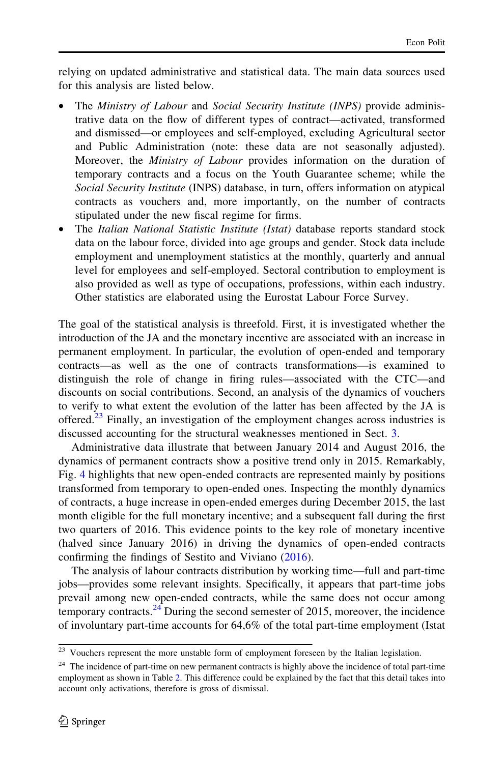relying on updated administrative and statistical data. The main data sources used for this analysis are listed below.

- The Ministry of Labour and Social Security Institute (INPS) provide administrative data on the flow of different types of contract—activated, transformed and dismissed—or employees and self-employed, excluding Agricultural sector and Public Administration (note: these data are not seasonally adjusted). Moreover, the Ministry of Labour provides information on the duration of temporary contracts and a focus on the Youth Guarantee scheme; while the Social Security Institute (INPS) database, in turn, offers information on atypical contracts as vouchers and, more importantly, on the number of contracts stipulated under the new fiscal regime for firms.
- The Italian National Statistic Institute (Istat) database reports standard stock data on the labour force, divided into age groups and gender. Stock data include employment and unemployment statistics at the monthly, quarterly and annual level for employees and self-employed. Sectoral contribution to employment is also provided as well as type of occupations, professions, within each industry. Other statistics are elaborated using the Eurostat Labour Force Survey.

The goal of the statistical analysis is threefold. First, it is investigated whether the introduction of the JA and the monetary incentive are associated with an increase in permanent employment. In particular, the evolution of open-ended and temporary contracts—as well as the one of contracts transformations—is examined to distinguish the role of change in firing rules—associated with the CTC—and discounts on social contributions. Second, an analysis of the dynamics of vouchers to verify to what extent the evolution of the latter has been affected by the JA is offered.<sup>23</sup> Finally, an investigation of the employment changes across industries is discussed accounting for the structural weaknesses mentioned in Sect. [3](#page-5-0).

Administrative data illustrate that between January 2014 and August 2016, the dynamics of permanent contracts show a positive trend only in 2015. Remarkably, Fig. [4](#page-12-0) highlights that new open-ended contracts are represented mainly by positions transformed from temporary to open-ended ones. Inspecting the monthly dynamics of contracts, a huge increase in open-ended emerges during December 2015, the last month eligible for the full monetary incentive; and a subsequent fall during the first two quarters of 2016. This evidence points to the key role of monetary incentive (halved since January 2016) in driving the dynamics of open-ended contracts confirming the findings of Sestito and Viviano [\(2016](#page-21-0)).

The analysis of labour contracts distribution by working time—full and part-time jobs—provides some relevant insights. Specifically, it appears that part-time jobs prevail among new open-ended contracts, while the same does not occur among temporary contracts.<sup>24</sup> During the second semester of 2015, moreover, the incidence of involuntary part-time accounts for 64,6% of the total part-time employment (Istat

 $23$  Vouchers represent the more unstable form of employment foreseen by the Italian legislation.

<sup>&</sup>lt;sup>24</sup> The incidence of part-time on new permanent contracts is highly above the incidence of total part-time employment as shown in Table [2.](#page-12-0) This difference could be explained by the fact that this detail takes into account only activations, therefore is gross of dismissal.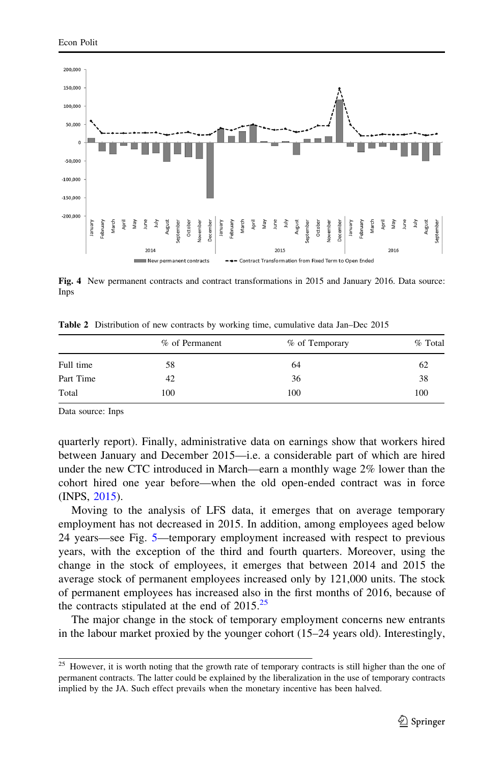<span id="page-12-0"></span>

Fig. 4 New permanent contracts and contract transformations in 2015 and January 2016. Data source: Inps

Table 2 Distribution of new contracts by working time, cumulative data Jan–Dec 2015

|           | % of Permanent | % of Temporary | % Total |
|-----------|----------------|----------------|---------|
| Full time | 58             | 64             | 62      |
| Part Time | 42             | 36             | 38      |
| Total     | 100            | 100            | 100     |

Data source: Inps

quarterly report). Finally, administrative data on earnings show that workers hired between January and December 2015—i.e. a considerable part of which are hired under the new CTC introduced in March—earn a monthly wage 2% lower than the cohort hired one year before—when the old open-ended contract was in force (INPS, [2015\)](#page-20-0).

Moving to the analysis of LFS data, it emerges that on average temporary employment has not decreased in 2015. In addition, among employees aged below 24 years—see Fig. [5](#page-13-0)—temporary employment increased with respect to previous years, with the exception of the third and fourth quarters. Moreover, using the change in the stock of employees, it emerges that between 2014 and 2015 the average stock of permanent employees increased only by 121,000 units. The stock of permanent employees has increased also in the first months of 2016, because of the contracts stipulated at the end of  $2015.^{25}$ 

The major change in the stock of temporary employment concerns new entrants in the labour market proxied by the younger cohort (15–24 years old). Interestingly,

<sup>&</sup>lt;sup>25</sup> However, it is worth noting that the growth rate of temporary contracts is still higher than the one of permanent contracts. The latter could be explained by the liberalization in the use of temporary contracts implied by the JA. Such effect prevails when the monetary incentive has been halved.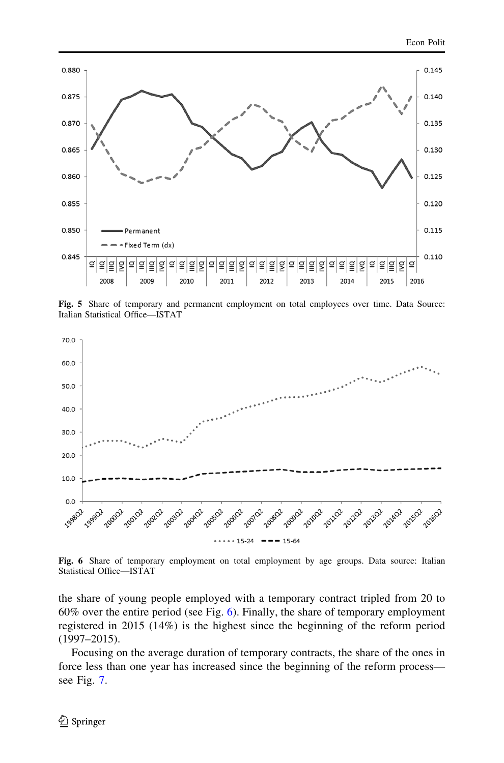<span id="page-13-0"></span>

Fig. 5 Share of temporary and permanent employment on total employees over time. Data Source: Italian Statistical Office—ISTAT



Fig. 6 Share of temporary employment on total employment by age groups. Data source: Italian Statistical Office—ISTAT

the share of young people employed with a temporary contract tripled from 20 to 60% over the entire period (see Fig. 6). Finally, the share of temporary employment registered in 2015 (14%) is the highest since the beginning of the reform period (1997–2015).

Focusing on the average duration of temporary contracts, the share of the ones in force less than one year has increased since the beginning of the reform process see Fig. [7](#page-14-0).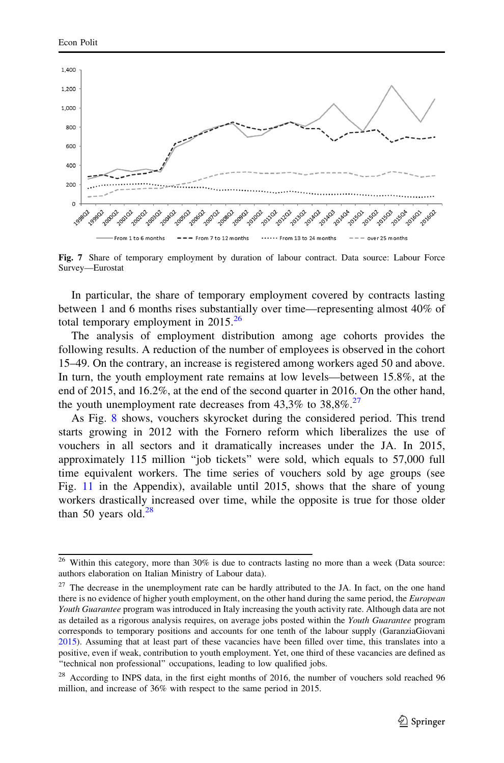<span id="page-14-0"></span>

Fig. 7 Share of temporary employment by duration of labour contract. Data source: Labour Force Survey—Eurostat

In particular, the share of temporary employment covered by contracts lasting between 1 and 6 months rises substantially over time—representing almost 40% of total temporary employment in  $2015^{26}$ 

The analysis of employment distribution among age cohorts provides the following results. A reduction of the number of employees is observed in the cohort 15–49. On the contrary, an increase is registered among workers aged 50 and above. In turn, the youth employment rate remains at low levels—between 15.8%, at the end of 2015, and 16.2%, at the end of the second quarter in 2016. On the other hand, the youth unemployment rate decreases from  $43,3\%$  to  $38,8\%$ .<sup>27</sup>

As Fig. [8](#page-15-0) shows, vouchers skyrocket during the considered period. This trend starts growing in 2012 with the Fornero reform which liberalizes the use of vouchers in all sectors and it dramatically increases under the JA. In 2015, approximately 115 million ''job tickets'' were sold, which equals to 57,000 full time equivalent workers. The time series of vouchers sold by age groups (see Fig. [11](#page-18-0) in the Appendix), available until 2015, shows that the share of young workers drastically increased over time, while the opposite is true for those older than 50 years old. $^{28}$ 

<sup>&</sup>lt;sup>26</sup> Within this category, more than 30% is due to contracts lasting no more than a week (Data source: authors elaboration on Italian Ministry of Labour data).

 $2<sup>7</sup>$  The decrease in the unemployment rate can be hardly attributed to the JA. In fact, on the one hand there is no evidence of higher youth employment, on the other hand during the same period, the European Youth Guarantee program was introduced in Italy increasing the youth activity rate. Although data are not as detailed as a rigorous analysis requires, on average jobs posted within the Youth Guarantee program corresponds to temporary positions and accounts for one tenth of the labour supply (GaranziaGiovani [2015\)](#page-19-0). Assuming that at least part of these vacancies have been filled over time, this translates into a positive, even if weak, contribution to youth employment. Yet, one third of these vacancies are defined as "technical non professional" occupations, leading to low qualified jobs.

<sup>&</sup>lt;sup>28</sup> According to INPS data, in the first eight months of 2016, the number of vouchers sold reached 96 million, and increase of 36% with respect to the same period in 2015.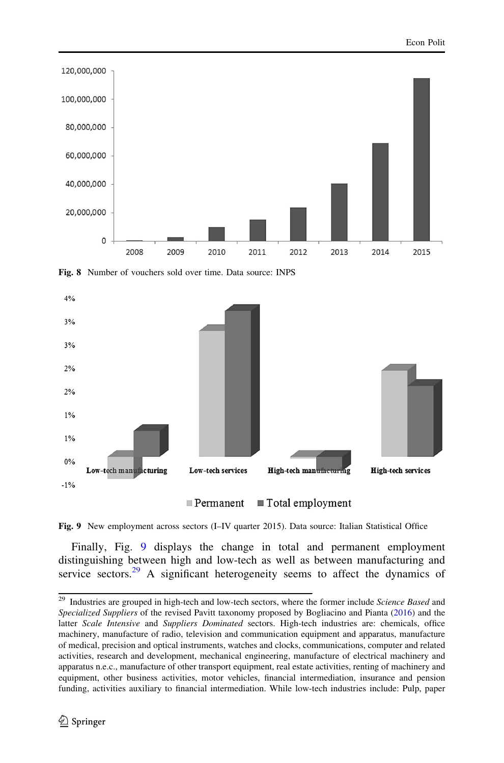<span id="page-15-0"></span>

Fig. 8 Number of vouchers sold over time. Data source: INPS



 $\blacksquare$  Total employment  $\blacksquare$  Permanent

Fig. 9 New employment across sectors (I–IV quarter 2015). Data source: Italian Statistical Office

Finally, Fig. 9 displays the change in total and permanent employment distinguishing between high and low-tech as well as between manufacturing and service sectors.<sup>29</sup> A significant heterogeneity seems to affect the dynamics of

 $29$  Industries are grouped in high-tech and low-tech sectors, where the former include Science Based and Specialized Suppliers of the revised Pavitt taxonomy proposed by Bogliacino and Pianta ([2016](#page-19-0)) and the latter Scale Intensive and Suppliers Dominated sectors. High-tech industries are: chemicals, office machinery, manufacture of radio, television and communication equipment and apparatus, manufacture of medical, precision and optical instruments, watches and clocks, communications, computer and related activities, research and development, mechanical engineering, manufacture of electrical machinery and apparatus n.e.c., manufacture of other transport equipment, real estate activities, renting of machinery and equipment, other business activities, motor vehicles, financial intermediation, insurance and pension funding, activities auxiliary to financial intermediation. While low-tech industries include: Pulp, paper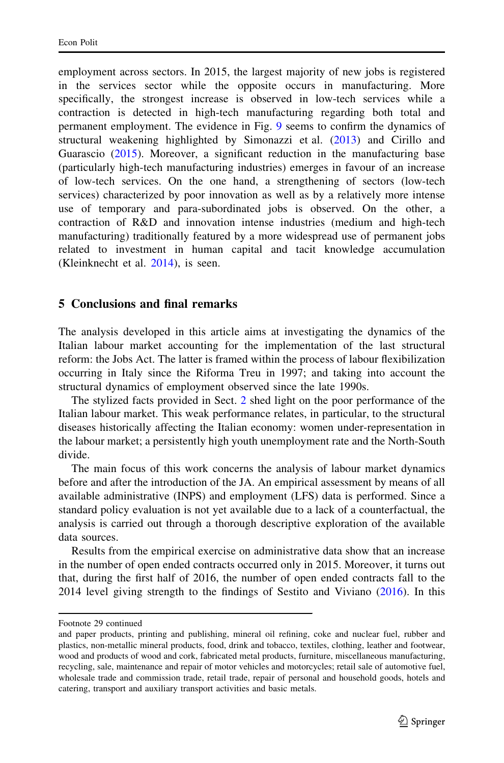<span id="page-16-0"></span>employment across sectors. In 2015, the largest majority of new jobs is registered in the services sector while the opposite occurs in manufacturing. More specifically, the strongest increase is observed in low-tech services while a contraction is detected in high-tech manufacturing regarding both total and permanent employment. The evidence in Fig. [9](#page-15-0) seems to confirm the dynamics of structural weakening highlighted by Simonazzi et al. [\(2013](#page-21-0)) and Cirillo and Guarascio ([2015\)](#page-19-0). Moreover, a significant reduction in the manufacturing base (particularly high-tech manufacturing industries) emerges in favour of an increase of low-tech services. On the one hand, a strengthening of sectors (low-tech services) characterized by poor innovation as well as by a relatively more intense use of temporary and para-subordinated jobs is observed. On the other, a contraction of R&D and innovation intense industries (medium and high-tech manufacturing) traditionally featured by a more widespread use of permanent jobs related to investment in human capital and tacit knowledge accumulation (Kleinknecht et al. [2014\)](#page-20-0), is seen.

### 5 Conclusions and final remarks

The analysis developed in this article aims at investigating the dynamics of the Italian labour market accounting for the implementation of the last structural reform: the Jobs Act. The latter is framed within the process of labour flexibilization occurring in Italy since the Riforma Treu in 1997; and taking into account the structural dynamics of employment observed since the late 1990s.

The stylized facts provided in Sect. [2](#page-2-0) shed light on the poor performance of the Italian labour market. This weak performance relates, in particular, to the structural diseases historically affecting the Italian economy: women under-representation in the labour market; a persistently high youth unemployment rate and the North-South divide.

The main focus of this work concerns the analysis of labour market dynamics before and after the introduction of the JA. An empirical assessment by means of all available administrative (INPS) and employment (LFS) data is performed. Since a standard policy evaluation is not yet available due to a lack of a counterfactual, the analysis is carried out through a thorough descriptive exploration of the available data sources.

Results from the empirical exercise on administrative data show that an increase in the number of open ended contracts occurred only in 2015. Moreover, it turns out that, during the first half of 2016, the number of open ended contracts fall to the 2014 level giving strength to the findings of Sestito and Viviano ([2016](#page-21-0)). In this

Footnote 29 continued

and paper products, printing and publishing, mineral oil refining, coke and nuclear fuel, rubber and plastics, non-metallic mineral products, food, drink and tobacco, textiles, clothing, leather and footwear, wood and products of wood and cork, fabricated metal products, furniture, miscellaneous manufacturing, recycling, sale, maintenance and repair of motor vehicles and motorcycles; retail sale of automotive fuel, wholesale trade and commission trade, retail trade, repair of personal and household goods, hotels and catering, transport and auxiliary transport activities and basic metals.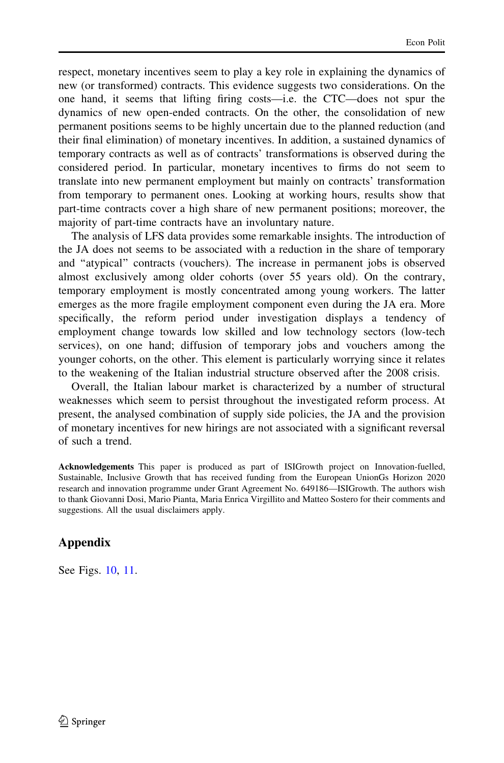respect, monetary incentives seem to play a key role in explaining the dynamics of new (or transformed) contracts. This evidence suggests two considerations. On the one hand, it seems that lifting firing costs—i.e. the CTC—does not spur the dynamics of new open-ended contracts. On the other, the consolidation of new permanent positions seems to be highly uncertain due to the planned reduction (and their final elimination) of monetary incentives. In addition, a sustained dynamics of temporary contracts as well as of contracts' transformations is observed during the considered period. In particular, monetary incentives to firms do not seem to translate into new permanent employment but mainly on contracts' transformation from temporary to permanent ones. Looking at working hours, results show that part-time contracts cover a high share of new permanent positions; moreover, the majority of part-time contracts have an involuntary nature.

The analysis of LFS data provides some remarkable insights. The introduction of the JA does not seems to be associated with a reduction in the share of temporary and ''atypical'' contracts (vouchers). The increase in permanent jobs is observed almost exclusively among older cohorts (over 55 years old). On the contrary, temporary employment is mostly concentrated among young workers. The latter emerges as the more fragile employment component even during the JA era. More specifically, the reform period under investigation displays a tendency of employment change towards low skilled and low technology sectors (low-tech services), on one hand; diffusion of temporary jobs and vouchers among the younger cohorts, on the other. This element is particularly worrying since it relates to the weakening of the Italian industrial structure observed after the 2008 crisis.

Overall, the Italian labour market is characterized by a number of structural weaknesses which seem to persist throughout the investigated reform process. At present, the analysed combination of supply side policies, the JA and the provision of monetary incentives for new hirings are not associated with a significant reversal of such a trend.

Acknowledgements This paper is produced as part of ISIGrowth project on Innovation-fuelled, Sustainable, Inclusive Growth that has received funding from the European UnionGs Horizon 2020 research and innovation programme under Grant Agreement No. 649186—ISIGrowth. The authors wish to thank Giovanni Dosi, Mario Pianta, Maria Enrica Virgillito and Matteo Sostero for their comments and suggestions. All the usual disclaimers apply.

### Appendix

See Figs. [10,](#page-18-0) [11.](#page-18-0)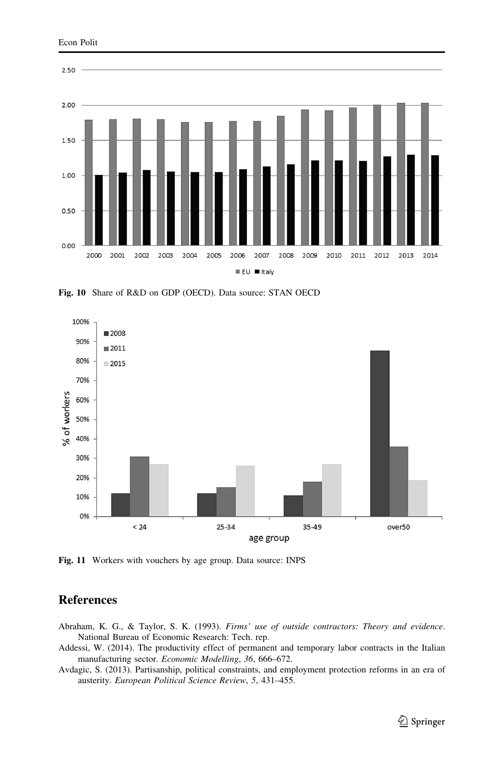<span id="page-18-0"></span>

Fig. 10 Share of R&D on GDP (OECD). Data source: STAN OECD



Fig. 11 Workers with vouchers by age group. Data source: INPS

### References

- Abraham, K. G., & Taylor, S. K. (1993). Firms' use of outside contractors: Theory and evidence. National Bureau of Economic Research: Tech. rep.
- Addessi, W. (2014). The productivity effect of permanent and temporary labor contracts in the Italian manufacturing sector. Economic Modelling, 36, 666–672.
- Avdagic, S. (2013). Partisanship, political constraints, and employment protection reforms in an era of austerity. European Political Science Review, 5, 431–455.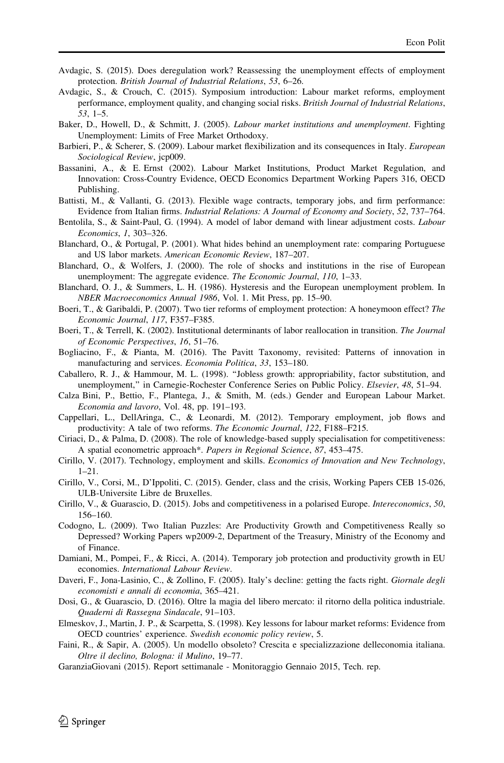- <span id="page-19-0"></span>Avdagic, S. (2015). Does deregulation work? Reassessing the unemployment effects of employment protection. British Journal of Industrial Relations, 53, 6–26.
- Avdagic, S., & Crouch, C. (2015). Symposium introduction: Labour market reforms, employment performance, employment quality, and changing social risks. British Journal of Industrial Relations, 53, 1–5.
- Baker, D., Howell, D., & Schmitt, J. (2005). Labour market institutions and unemployment. Fighting Unemployment: Limits of Free Market Orthodoxy.
- Barbieri, P., & Scherer, S. (2009). Labour market flexibilization and its consequences in Italy. European Sociological Review, jcp009.
- Bassanini, A., & E. Ernst (2002). Labour Market Institutions, Product Market Regulation, and Innovation: Cross-Country Evidence, OECD Economics Department Working Papers 316, OECD Publishing.
- Battisti, M., & Vallanti, G. (2013). Flexible wage contracts, temporary jobs, and firm performance: Evidence from Italian firms. Industrial Relations: A Journal of Economy and Society, 52, 737–764.
- Bentolila, S., & Saint-Paul, G. (1994). A model of labor demand with linear adjustment costs. Labour Economics, 1, 303–326.
- Blanchard, O., & Portugal, P. (2001). What hides behind an unemployment rate: comparing Portuguese and US labor markets. American Economic Review, 187–207.
- Blanchard, O., & Wolfers, J. (2000). The role of shocks and institutions in the rise of European unemployment: The aggregate evidence. The Economic Journal, 110, 1–33.
- Blanchard, O. J., & Summers, L. H. (1986). Hysteresis and the European unemployment problem. In NBER Macroeconomics Annual 1986, Vol. 1. Mit Press, pp. 15–90.
- Boeri, T., & Garibaldi, P. (2007). Two tier reforms of employment protection: A honeymoon effect? The Economic Journal, 117, F357–F385.
- Boeri, T., & Terrell, K. (2002). Institutional determinants of labor reallocation in transition. The Journal of Economic Perspectives, 16, 51–76.
- Bogliacino, F., & Pianta, M. (2016). The Pavitt Taxonomy, revisited: Patterns of innovation in manufacturing and services. Economia Politica, 33, 153–180.
- Caballero, R. J., & Hammour, M. L. (1998). ''Jobless growth: appropriability, factor substitution, and unemployment," in Carnegie-Rochester Conference Series on Public Policy. Elsevier, 48, 51-94.
- Calza Bini, P., Bettio, F., Plantega, J., & Smith, M. (eds.) Gender and European Labour Market. Economia and lavoro, Vol. 48, pp. 191–193.
- Cappellari, L., DellAringa, C., & Leonardi, M. (2012). Temporary employment, job flows and productivity: A tale of two reforms. The Economic Journal, 122, F188–F215.
- Ciriaci, D., & Palma, D. (2008). The role of knowledge-based supply specialisation for competitiveness: A spatial econometric approach\*. Papers in Regional Science, 87, 453–475.
- Cirillo, V. (2017). Technology, employment and skills. Economics of Innovation and New Technology, 1–21.
- Cirillo, V., Corsi, M., D'Ippoliti, C. (2015). Gender, class and the crisis, Working Papers CEB 15-026, ULB-Universite Libre de Bruxelles.
- Cirillo, V., & Guarascio, D. (2015). Jobs and competitiveness in a polarised Europe. Intereconomics, 50, 156–160.
- Codogno, L. (2009). Two Italian Puzzles: Are Productivity Growth and Competitiveness Really so Depressed? Working Papers wp2009-2, Department of the Treasury, Ministry of the Economy and of Finance.
- Damiani, M., Pompei, F., & Ricci, A. (2014). Temporary job protection and productivity growth in EU economies. International Labour Review.
- Daveri, F., Jona-Lasinio, C., & Zollino, F. (2005). Italy's decline: getting the facts right. Giornale degli economisti e annali di economia, 365–421.
- Dosi, G., & Guarascio, D. (2016). Oltre la magia del libero mercato: il ritorno della politica industriale. Quaderni di Rassegna Sindacale, 91–103.
- Elmeskov, J., Martin, J. P., & Scarpetta, S. (1998). Key lessons for labour market reforms: Evidence from OECD countries' experience. Swedish economic policy review, 5.
- Faini, R., & Sapir, A. (2005). Un modello obsoleto? Crescita e specializzazione delleconomia italiana. Oltre il declino, Bologna: il Mulino, 19–77.
- GaranziaGiovani (2015). Report settimanale Monitoraggio Gennaio 2015, Tech. rep.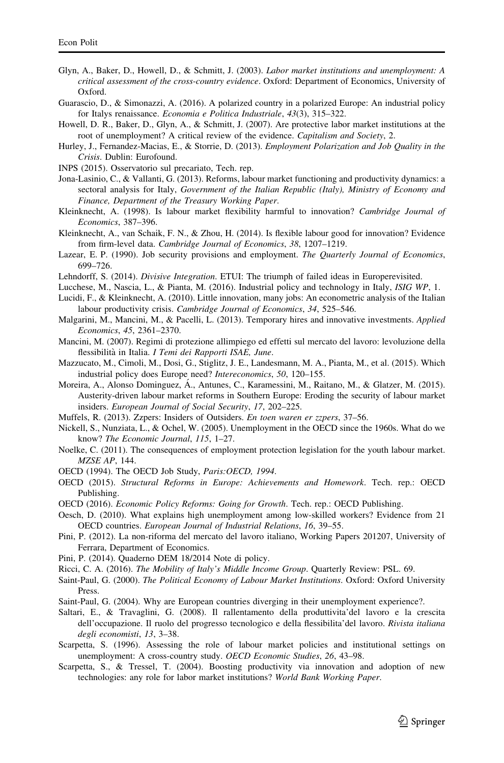- <span id="page-20-0"></span>Glyn, A., Baker, D., Howell, D., & Schmitt, J. (2003). Labor market institutions and unemployment: A critical assessment of the cross-country evidence. Oxford: Department of Economics, University of Oxford.
- Guarascio, D., & Simonazzi, A. (2016). A polarized country in a polarized Europe: An industrial policy for Italys renaissance. Economia e Politica Industriale, 43(3), 315–322.
- Howell, D. R., Baker, D., Glyn, A., & Schmitt, J. (2007). Are protective labor market institutions at the root of unemployment? A critical review of the evidence. Capitalism and Society, 2.
- Hurley, J., Fernandez-Macias, E., & Storrie, D. (2013). Employment Polarization and Job Quality in the Crisis. Dublin: Eurofound.
- INPS (2015). Osservatorio sul precariato, Tech. rep.
- Jona-Lasinio, C., & Vallanti, G. (2013). Reforms, labour market functioning and productivity dynamics: a sectoral analysis for Italy, Government of the Italian Republic (Italy), Ministry of Economy and Finance, Department of the Treasury Working Paper.
- Kleinknecht, A. (1998). Is labour market flexibility harmful to innovation? Cambridge Journal of Economics, 387–396.
- Kleinknecht, A., van Schaik, F. N., & Zhou, H. (2014). Is flexible labour good for innovation? Evidence from firm-level data. Cambridge Journal of Economics, 38, 1207–1219.
- Lazear, E. P. (1990). Job security provisions and employment. The Quarterly Journal of Economics, 699–726.
- Lehndorff, S. (2014). *Divisive Integration*. ETUI: The triumph of failed ideas in Europerevisited.
- Lucchese, M., Nascia, L., & Pianta, M. (2016). Industrial policy and technology in Italy, ISIG WP, 1.
- Lucidi, F., & Kleinknecht, A. (2010). Little innovation, many jobs: An econometric analysis of the Italian labour productivity crisis. Cambridge Journal of Economics, 34, 525–546.
- Malgarini, M., Mancini, M., & Pacelli, L. (2013). Temporary hires and innovative investments. Applied Economics, 45, 2361–2370.
- Mancini, M. (2007). Regimi di protezione allimpiego ed effetti sul mercato del lavoro: levoluzione della flessibilità in Italia. I Temi dei Rapporti ISAE, June.
- Mazzucato, M., Cimoli, M., Dosi, G., Stiglitz, J. E., Landesmann, M. A., Pianta, M., et al. (2015). Which industrial policy does Europe need? Intereconomics, 50, 120–155.
- Moreira, A., Alonso Dominguez, Á., Antunes, C., Karamessini, M., Raitano, M., & Glatzer, M. (2015). Austerity-driven labour market reforms in Southern Europe: Eroding the security of labour market insiders. European Journal of Social Security, 17, 202–225.
- Muffels, R. (2013). Zzpers: Insiders of Outsiders. En toen waren er zzpers, 37–56.
- Nickell, S., Nunziata, L., & Ochel, W. (2005). Unemployment in the OECD since the 1960s. What do we know? The Economic Journal, 115, 1–27.
- Noelke, C. (2011). The consequences of employment protection legislation for the youth labour market. MZSE AP, 144.
- OECD (1994). The OECD Job Study, Paris: OECD, 1994.
- OECD (2015). Structural Reforms in Europe: Achievements and Homework. Tech. rep.: OECD Publishing.
- OECD (2016). Economic Policy Reforms: Going for Growth. Tech. rep.: OECD Publishing.
- Oesch, D. (2010). What explains high unemployment among low-skilled workers? Evidence from 21 OECD countries. European Journal of Industrial Relations, 16, 39–55.
- Pini, P. (2012). La non-riforma del mercato del lavoro italiano, Working Papers 201207, University of Ferrara, Department of Economics.
- Pini, P. (2014). Quaderno DEM 18/2014 Note di policy.
- Ricci, C. A. (2016). The Mobility of Italy's Middle Income Group. Quarterly Review: PSL. 69.
- Saint-Paul, G. (2000). The Political Economy of Labour Market Institutions. Oxford: Oxford University Press.
- Saint-Paul, G. (2004). Why are European countries diverging in their unemployment experience?.
- Saltari, E., & Travaglini, G. (2008). Il rallentamento della produttivita'del lavoro e la crescita dell'occupazione. Il ruolo del progresso tecnologico e della flessibilita'del lavoro. Rivista italiana degli economisti, 13, 3–38.
- Scarpetta, S. (1996). Assessing the role of labour market policies and institutional settings on unemployment: A cross-country study. OECD Economic Studies, 26, 43–98.
- Scarpetta, S., & Tressel, T. (2004). Boosting productivity via innovation and adoption of new technologies: any role for labor market institutions? World Bank Working Paper.